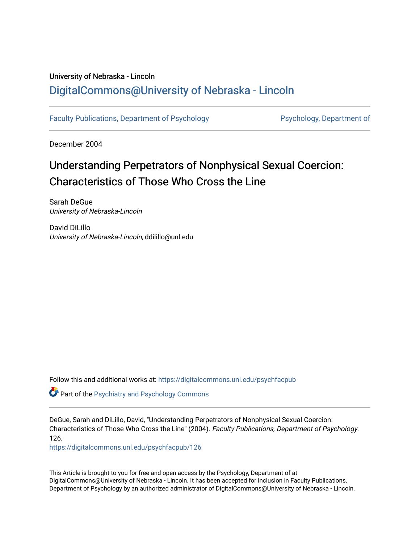### University of Nebraska - Lincoln [DigitalCommons@University of Nebraska - Lincoln](https://digitalcommons.unl.edu/)

[Faculty Publications, Department of Psychology](https://digitalcommons.unl.edu/psychfacpub) Psychology, Department of

December 2004

## Understanding Perpetrators of Nonphysical Sexual Coercion: Characteristics of Those Who Cross the Line

Sarah DeGue University of Nebraska-Lincoln

David DiLillo University of Nebraska-Lincoln, ddilillo@unl.edu

Follow this and additional works at: [https://digitalcommons.unl.edu/psychfacpub](https://digitalcommons.unl.edu/psychfacpub?utm_source=digitalcommons.unl.edu%2Fpsychfacpub%2F126&utm_medium=PDF&utm_campaign=PDFCoverPages) 

**Part of the Psychiatry and Psychology Commons** 

DeGue, Sarah and DiLillo, David, "Understanding Perpetrators of Nonphysical Sexual Coercion: Characteristics of Those Who Cross the Line" (2004). Faculty Publications, Department of Psychology. 126.

[https://digitalcommons.unl.edu/psychfacpub/126](https://digitalcommons.unl.edu/psychfacpub/126?utm_source=digitalcommons.unl.edu%2Fpsychfacpub%2F126&utm_medium=PDF&utm_campaign=PDFCoverPages) 

This Article is brought to you for free and open access by the Psychology, Department of at DigitalCommons@University of Nebraska - Lincoln. It has been accepted for inclusion in Faculty Publications, Department of Psychology by an authorized administrator of DigitalCommons@University of Nebraska - Lincoln.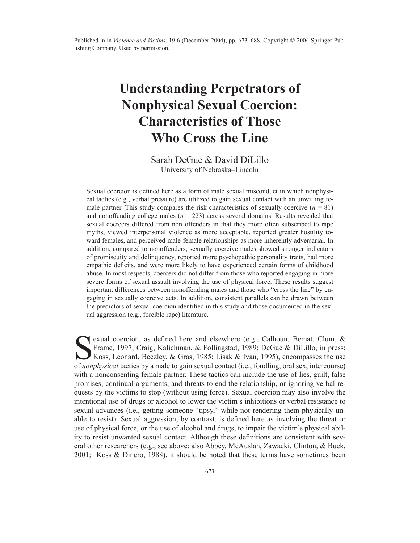Published in in *Violence and Victims*, 19:6 (December 2004), pp. 673–688. Copyright © 2004 Springer Publishing Company. Used by permission.

# **Understanding Perpetrators of Nonphysical Sexual Coercion: Characteristics of Those Who Cross the Line**

Sarah DeGue & David DiLillo University of Nebraska–Lincoln

Sexual coercion is defined here as a form of male sexual misconduct in which nonphysical tactics (e.g., verbal pressure) are utilized to gain sexual contact with an unwilling female partner. This study compares the risk characteristics of sexually coercive  $(n = 81)$ and nonoffending college males ( $n = 223$ ) across several domains. Results revealed that sexual coercers differed from non offenders in that they more often subscribed to rape myths, viewed interpersonal violence as more acceptable, reported greater hostility toward females, and perceived male-female relationships as more inherently adversarial. In addition, compared to nonoffenders, sexually coercive males showed stronger indicators of promiscuity and delinquency, reported more psychopathic personality traits, had more empathic deficits, and were more likely to have experienced certain forms of childhood abuse. In most respects, coercers did not differ from those who reported engaging in more severe forms of sexual assault involving the use of physical force. These results suggest important differences between nonoffending males and those who "cross the line" by engaging in sexually coercive acts. In addition, consistent parallels can be drawn between the predictors of sexual coercion identified in this study and those documented in the sexual aggression (e.g., forcible rape) literature.

Sexual coercion, as defined here and elsewhere (e.g., Calhoun, Bemat, Clum, & Frame, 1997; Craig, Kalichman, & Follingstad, 1989; DeGue & DiLillo, in press; Koss, Leonard, Beezley, & Gras, 1985; Lisak & Ivan, 1995), encomp Frame, 1997; Craig, Kalichman, & Follingstad, 1989; DeGue & DiLillo, in press; Koss, Leonard, Beezley, & Gras, 1985; Lisak & Ivan, 1995), encompasses the use of *nonphysical* tactics by a male to gain sexual contact (i.e., fondling, oral sex, intercourse) with a nonconsenting female partner. These tactics can include the use of lies, guilt, false promises, continual arguments, and threats to end the relationship, or ignoring verbal requests by the victims to stop (without using force). Sexual coercion may also involve the intentional use of drugs or alcohol to lower the victim's inhibitions or verbal resistance to sexual advances (i.e., getting someone "tipsy," while not rendering them physically unable to resist). Sexual aggression, by contrast, is defined here as involving the threat or use of physical force, or the use of alcohol and drugs, to impair the victim's physical ability to resist unwanted sexual contact. Although these definitions are consistent with several other researchers (e.g., see above; also Abbey, McAuslan, Zawacki, Clinton, & Buck, 2001; Koss & Dinero, 1988), it should be noted that these terms have sometimes been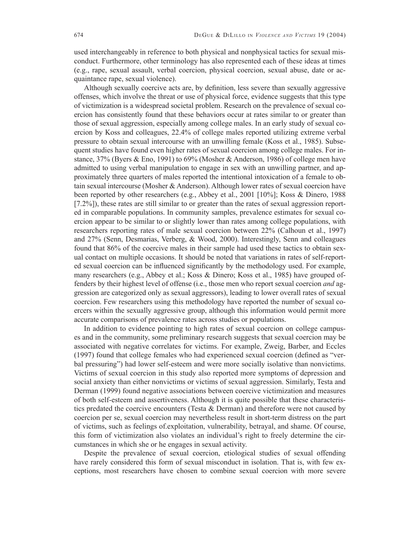used interchangeably in reference to both physical and nonphysical tactics for sexual misconduct. Furthermore, other terminology has also represented each of these ideas at times (e.g., rape, sexual assault, verbal coercion, physical coercion, sexual abuse, date or acquaintance rape, sexual violence).

Although sexually coercive acts are, by definition, less severe than sexually aggressive offenses, which involve the threat or use of physical force, evidence suggests that this type of victimization is a widespread societal problem. Research on the prevalence of sexual coercion has consistently found that these behaviors occur at rates similar to or greater than those of sexual aggression, especially among college males. In an early study of sexual coercion by Koss and colleagues, 22.4% of college males reported utilizing extreme verbal pressure to obtain sexual intercourse with an unwilling female (Koss et al., 1985). Subsequent studies have found even higher rates of sexual coercion among college males. For instance, 37% (Byers & Eno, 1991) to 69% (Mosher & Anderson, 1986) of college men have admitted to using verbal manipulation to engage in sex with an unwilling partner, and approximately three quarters of males reported the intentional intoxication of a female to obtain sexual intercourse (Mosher & Anderson). Although lower rates of sexual coercion have been reported by other researchers (e.g., Abbey et al., 2001 [10%]; Koss & Dinero, 1988 [7.2%]), these rates are still similar to or greater than the rates of sexual aggression reported in comparable populations. In community samples, prevalence estimates for sexual coercion appear to be similar to or slightly lower than rates among college populations, with researchers reporting rates of male sexual coercion between 22% (Calhoun et al., 1997) and 27% (Senn, Desmarias, Verberg, & Wood, 2000). Interestingly, Senn and colleagues found that 86% of the coercive males in their sample had used these tactics to obtain sexual contact on multiple occasions. It should be noted that variations in rates of self-reported sexual coercion can be influenced significantly by the methodology used. For example, many researchers (e.g., Abbey et al.; Koss & Dinero; Koss et al., 1985) have grouped offenders by their highest level of offense (i.e., those men who report sexual coercion *and* aggression are categorized only as sexual aggressors), leading to lower overall rates of sexual coercion. Few researchers using this methodology have reported the number of sexual coercers within the sexually aggressive group, although this information would permit more accurate comparisons of prevalence rates across studies or populations.

In addition to evidence pointing to high rates of sexual coercion on college campuses and in the community, some preliminary research suggests that sexual coercion may be associated with negative correlates for victims. For example, Zweig, Barber, and Eccles (1997) found that college females who had experienced sexual coercion (defined as "verbal pressuring") had lower self-esteem and were more socially isolative than nonvictims. Victims of sexual coercion in this study also reported more symptoms of depression and social anxiety than either nonvictims or victims of sexual aggression. Similarly, Testa and Derman (1999) found negative associations between coercive victimization and measures of both self-esteem and assertiveness. Although it is quite possible that these characteristics predated the coercive encounters (Testa & Derman) and therefore were not caused by coercion per se, sexual coercion may nevertheless result in short-term distress on the part of victims, such as feelings of.exploitation, vulnerability, betrayal, and shame. Of course, this form of victimization also violates an individual's right to freely determine the circumstances in which she or he engages in sexual activity.

Despite the prevalence of sexual coercion, etiological studies of sexual offending have rarely considered this form of sexual misconduct in isolation. That is, with few exceptions, most researchers have chosen to combine sexual coercion with more severe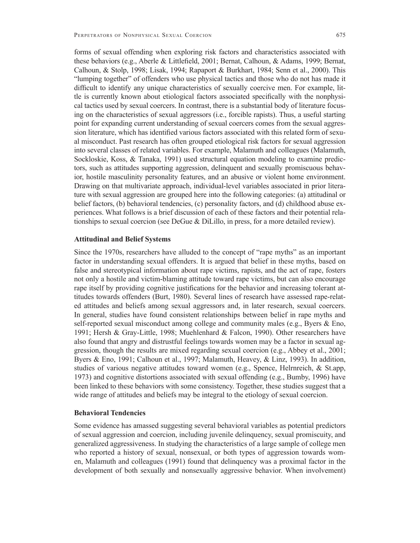forms of sexual offending when exploring risk factors and characteristics associated with these behaviors (e.g., Aberle & Littlefield, 2001; Bernat, Calhoun, & Adams, 1999; Bernat, Calhoun, & Stolp, 1998; Lisak, 1994; Rapaport & Burkhart, 1984; Senn et al., 2000). This "lumping together" of offenders who use physical tactics and those who do not has made it difficult to identify any unique characteristics of sexually coercive men. For example, little is currently known about etiological factors associated specifically with the nonphysical tactics used by sexual coercers. In contrast, there is a substantial body of literature focusing on the characteristics of sexual aggressors (i.e., forcible rapists). Thus, a useful starting point for expanding current understanding of sexual coercers comes from the sexual aggression literature, which has identified various factors associated with this related form of sexual misconduct. Past research has often grouped etiological risk factors for sexual aggression into several classes of related variables. For example, Malamuth and colleagues (Malamuth, Sockloskie, Koss, & Tanaka, 1991) used structural equation modeling to examine predictors, such as attitudes supporting aggression, delinquent and sexually promiscuous behavior, hostile masculinity personality features, and an abusive or violent home environment. Drawing on that multivariate approach, individual-level variables associated in prior literature with sexual aggression are grouped here into the following categories: (a) attitudinal or belief factors, (b) behavioral tendencies, (c) personality factors, and (d) childhood abuse experiences. What follows is a brief discussion of each of these factors and their potential relationships to sexual coercion (see DeGue & DiLillo, in press, for a more detailed review).

#### **Attitudinal and Belief Systems**

Since the 1970s, researchers have alluded to the concept of "rape myths" as an important factor in understanding sexual offenders. It is argued that belief in these myths, based on false and stereotypical information about rape victims, rapists, and the act of rape, fosters not only a hostile and victim-blaming attitude toward rape victims, but can also encourage rape itself by providing cognitive justifications for the behavior and increasing tolerant attitudes towards offenders (Burt, 1980). Several lines of research have assessed rape-related attitudes and beliefs among sexual aggressors and, in later research, sexual coercers. In general, studies have found consistent relationships between belief in rape myths and self-reported sexual misconduct among college and community males (e.g., Byers & Eno, 1991; Hersh & Gray-Little, 1998; Muehlenhard & Falcon, 1990). Other researchers have also found that angry and distrustful feelings towards women may be a factor in sexual aggression, though the results are mixed regarding sexual coercion (e.g., Abbey et al., 2001; Byers & Eno, 1991; Calhoun et al., 1997; Malamuth, Heavey, & Linz, 1993). In addition, studies of various negative attitudes toward women (e.g., Spence, Helrnreich, & St.app, 1973) and cognitive distortions associated with sexual offending (e.g., Bumby, 1996) have been linked to these behaviors with some consistency. Together, these studies suggest that a wide range of attitudes and beliefs may be integral to the etiology of sexual coercion.

#### **Behavioral Tendencies**

Some evidence has amassed suggesting several behavioral variables as potential predictors of sexual aggression and coercion, including juvenile delinquency, sexual promiscuity, and generalized aggressiveness. In studying the characteristics of a large sample of college men who reported a history of sexual, nonsexual, or both types of aggression towards women, Malamuth and colleagues (1991) found that delinquency was a proximal factor in the development of both sexually and nonsexually aggressive behavior. When involvement)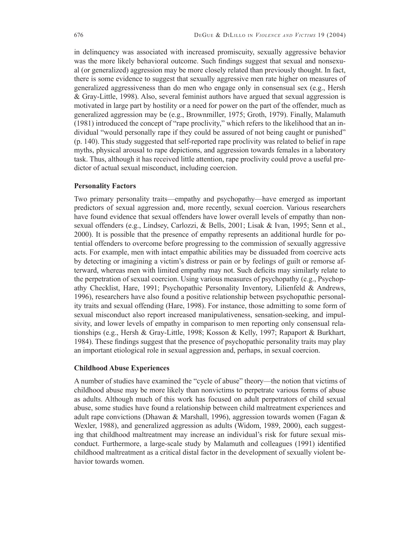in delinquency was associated with increased promiscuity, sexually aggressive behavior was the more likely behavioral outcome. Such findings suggest that sexual and nonsexual (or generalized) aggression may be more closely related than previously thought. In fact, there is some evidence to suggest that sexually aggressive men rate higher on measures of generalized aggressiveness than do men who engage only in consensual sex (e.g., Hersh & Gray-Little, 1998). Also, several feminist authors have argued that sexual aggression is motivated in large part by hostility or a need for power on the part of the offender, much as generalized aggression may be (e.g., Brownmiller, 1975; Groth, 1979). Finally, Malamuth (1981) introduced the concept of "rape proclivity," which refers to the likelihood that an individual "would personally rape if they could be assured of not being caught or punished" (p. 140). This study suggested that self-reported rape proclivity was related to belief in rape myths, physical arousal to rape depictions, and aggression towards females in a laboratory task. Thus, although it has received little attention, rape proclivity could prove a useful predictor of actual sexual misconduct, including coercion.

#### **Personality Factors**

Two primary personality traits—empathy and psychopathy—have emerged as important predictors of sexual aggression and, more recently, sexual coercion. Various researchers have found evidence that sexual offenders have lower overall levels of empathy than nonsexual offenders (e.g., Lindsey, Carlozzi, & Bells, 2001; Lisak & Ivan, 1995; Senn et al., 2000). It is possible that the presence of empathy represents an additional hurdle for potential offenders to overcome before progressing to the commission of sexually aggressive acts. For example, men with intact empathic abilities may be dissuaded from coercive acts by detecting or imagining a victim's distress or pain or by feelings of guilt or remorse afterward, whereas men with limited empathy may not. Such deficits may similarly relate to the perpetration of sexual coercion. Using various measures of psychopathy (e.g., Psychopathy Checklist, Hare, 1991; Psychopathic Personality Inventory, Lilienfeld & Andrews, 1996), researchers have also found a positive relationship between psychopathic personality traits and sexual offending (Hare, 1998). For instance, those admitting to some form of sexual misconduct also report increased manipulativeness, sensation-seeking, and impulsivity, and lower levels of empathy in comparison to men reporting only consensual relationships (e.g., Hersh & Gray-Little, 1998; Kosson & Kelly, 1997; Rapaport & Burkhart, 1984). These findings suggest that the presence of psychopathic personality traits may play an important etiological role in sexual aggression and, perhaps, in sexual coercion.

#### **Childhood Abuse Experiences**

A number of studies have examined the "cycle of abuse" theory—the notion that victims of childhood abuse may be more likely than nonvictims to perpetrate various forms of abuse as adults. Although much of this work has focused on adult perpetrators of child sexual abuse, some studies have found a relationship between child maltreatment experiences and adult rape convictions (Dhawan & Marshall, 1996), aggression towards women (Fagan & Wexler, 1988), and generalized aggression as adults (Widom, 1989, 2000), each suggesting that childhood maltreatment may increase an individual's risk for future sexual misconduct. Furthermore, a large-scale study by Malamuth and colleagues (1991) identified childhood maltreatment as a critical distal factor in the development of sexually violent behavior towards women.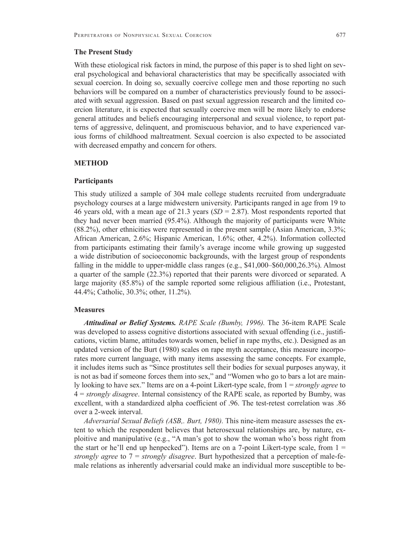#### **The Present Study**

With these etiological risk factors in mind, the purpose of this paper is to shed light on several psychological and behavioral characteristics that may be specifically associated with sexual coercion. In doing so, sexually coercive college men and those reporting no such behaviors will be compared on a number of characteristics previously found to be associated with sexual aggression. Based on past sexual aggression research and the limited coercion literature, it is expected that sexually coercive men will be more likely to endorse general attitudes and beliefs encouraging interpersonal and sexual violence, to report patterns of aggressive, delinquent, and promiscuous behavior, and to have experienced various forms of childhood maltreatment. Sexual coercion is also expected to be associated with decreased empathy and concern for others.

#### **METHOD**

#### **Participants**

This study utilized a sample of 304 male college students recruited from undergraduate psychology courses at a large midwestern university. Participants ranged in age from 19 to 46 years old, with a mean age of 21.3 years (*SD* = 2.87). Most respondents reported that they had never been married (95.4%). Although the majority of participants were White (88.2%), other ethnicities were represented in the present sample (Asian American, 3.3%; African American, 2.6%; Hispanic American, 1.6%; other, 4.2%). Information collected from participants estimating their family's average income while growing up suggested a wide distribution of socioeconomic backgrounds, with the largest group of respondents falling in the middle to upper-middle class ranges (e.g., \$41,000–\$60,000,26.3%). Almost a quarter of the sample (22.3%) reported that their parents were divorced or separated. A large majority (85.8%) of the sample reported some religious affiliation (i.e., Protestant, 44.4%; Catholic, 30.3%; other, 11.2%).

#### **Measures**

*Attitudinal or Belief Systems. RAPE Scale (Bumby, 1996).* The 36-item RAPE Scale was developed to assess cognitive distortions associated with sexual offending (i.e., justifications, victim blame, attitudes towards women, belief in rape myths, etc.). Designed as an updated version of the Burt (1980) scales on rape myth acceptance, this measure incorporates more current language, with many items assessing the same concepts. For example, it includes items such as "Since prostitutes sell their bodies for sexual purposes anyway, it is not as bad if someone forces them into sex," and "Women who go to bars a lot are mainly looking to have sex." Items are on a 4-point Likert-type scale, from 1 = *strongly agree* to 4 = *strongly disagree*. Internal consistency of the RAPE scale, as reported by Bumby, was excellent, with a standardized alpha coefficient of .96. The test-retest correlation was .86 over a 2-week interval.

*Adversarial Sexual Beliefs (ASB,. Burt, 1980).* This nine-item measure assesses the extent to which the respondent believes that heterosexual relationships are, by nature, exploitive and manipulative (e.g., "A man's got to show the woman who's boss right from the start or he'll end up henpecked"). Items are on a 7-point Likert-type scale, from  $1 =$ *strongly agree* to 7 = *strongly disagree*. Burt hypothesized that a perception of male-female relations as inherently adversarial could make an individual more susceptible to be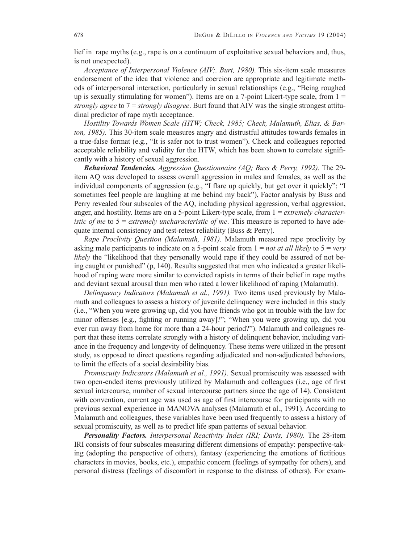lief in rape myths (e.g., rape is on a continuum of exploitative sexual behaviors and, thus, is not unexpected).

*Acceptance of Interpersonal Violence (AIV;. Burt, 1980).* This six-item scale measures endorsement of the idea that violence and coercion are appropriate and legitimate methods of interpersonal interaction, particularly in sexual relationships (e.g., "Being roughed up is sexually stimulating for women"). Items are on a 7-point Likert-type scale, from  $1 =$ *strongly agree* to 7 = *strongly disagree*. Burt found that AIV was the single strongest attitudinal predictor of rape myth acceptance.

*Hostility Towards Women Scale (HTW; Check, 1985; Check, Malamuth, Elias, & Barton, 1985).* This 30-item scale measures angry and distrustful attitudes towards females in a true-false format (e.g., "It is safer not to trust women"). Check and colleagues reported acceptable reliability and validity for the HTW, which has been shown to correlate significantly with a history of sexual aggression.

*Behavioral Tendencies. Aggression Questionnaire (AQ; Buss & Perry, 1992).* The 29 item AQ was developed to assess overall aggression in males and females, as well as the individual components of aggression (e.g., "I flare up quickly, but get over it quickly"; "I sometimes feel people are laughing at me behind my back"), Factor analysis by Buss and Perry revealed four subscales of the AQ, including physical aggression, verbal aggression, anger, and hostility. Items are on a 5-point Likert-type scale, from 1 = *extremely characteristic of me* to  $5 =$  *extremely uncharacteristic of me*. This measure is reported to have adequate internal consistency and test-retest reliability (Buss & Perry).

*Rape Proclivity Question (Malamuth, 1981).* Malamuth measured rape proclivity by asking male participants to indicate on a 5-point scale from 1 = *not at all likely* to 5 = *very likely* the "likelihood that they personally would rape if they could be assured of not being caught or punished" (p, 140). Results suggested that men who indicated a greater likelihood of raping were more similar to convicted rapists in terms of their belief in rape myths and deviant sexual arousal than men who rated a lower likelihood of raping (Malamuth).

*Delinquency Indicators (Malamuth et al., 1991).* Two items used previously by Malamuth and colleagues to assess a history of juvenile delinquency were included in this study (i.e., "When you were growing up, did you have friends who got in trouble with the law for minor offenses [e.g., fighting or running away]?"; "When you were growing up, did you ever run away from home for more than a 24-hour period?"). Malamuth and colleagues report that these items correlate strongly with a history of delinquent behavior, including variance in the frequency and longevity of delinquency. These items were utilized in the present study, as opposed to direct questions regarding adjudicated and non-adjudicated behaviors, to limit the effects of a social desirability bias.

*Promiscuity Indicators (Malamuth et al., 1991).* Sexual promiscuity was assessed with two open-ended items previously utilized by Malamuth and colleagues (i.e., age of first sexual intercourse, number of sexual intercourse partners since the age of 14). Consistent with convention, current age was used as age of first intercourse for participants with no previous sexual experience in MANOVA analyses (Malamuth et al., 1991). According to Malamuth and colleagues, these variables have been used frequently to assess a history of sexual promiscuity, as well as to predict life span patterns of sexual behavior.

*Personality Factors. Interpersonal Reactivity Index (IRI; Davis, 1980).* The 28-item IRI consists of four subscales measuring different dimensions of empathy: perspective-taking (adopting the perspective of others), fantasy (experiencing the emotions of fictitious characters in movies, books, etc.), empathic concern (feelings of sympathy for others), and personal distress (feelings of discomfort in response to the distress of others). For exam-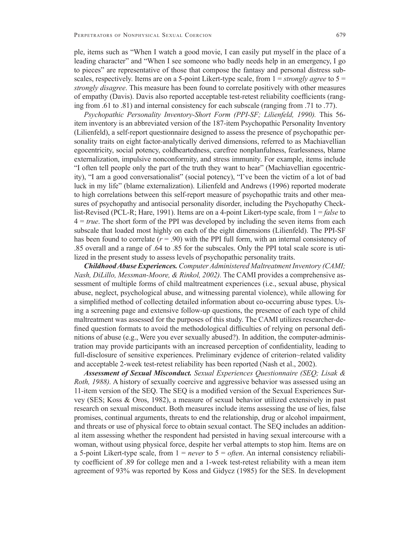ple, items such as "When I watch a good movie, I can easily put myself in the place of a leading character" and "When I see someone who badly needs help in an emergency, I go to pieces" are representative of those that compose the fantasy and personal distress subscales, respectively. Items are on a 5-point Likert-type scale, from 1 = *strongly agree* to 5 = *strongly disagree*. This measure has been found to correlate positively with other measures of empathy (Davis). Davis also reported acceptable test-retest reliability coefficients (ranging from .61 to .81) and internal consistency for each subscale (ranging from .71 to .77).

*Psychopathic Personality Inventory-Short Form (PPI-SF; Lilienfeld, 1990).* This 56 item inventory is an abbreviated version of the 187-item Psychopathic Personality Inventory (Lilienfeld), a self-report questionnaire designed to assess the presence of psychopathic personality traits on eight factor-analytically derived dimensions, referred to as Machiavellian egocentricity, social potency, coldheartedness, carefree nonplanfulness, fearlessness, blame externalization, impulsive nonconformity, and stress immunity. For example, items include "I often tell people only the part of the truth they want to hear" (Machiavellian egocentricity), "I am a good conversationalist" (social potency), "I've been the victim of a lot of bad luck in my life" (blame externalization). Lilienfeld and Andrews (1996) reported moderate to high correlations between this self-report measure of psychopathic traits and other measures of psychopathy and antisocial personality disorder, including the Psychopathy Checklist-Revised (PCL-R; Hare, 1991). Items are on a 4-point Likert-type scale, from 1 = *false* to 4 = *true*. The short form of the PPI was developed by including the seven items from each subscale that loaded most highly on each of the eight dimensions (Lilienfeld). The PPI-SF has been found to correlate  $(r = .90)$  with the PPI full form, with an internal consistency of .85 overall and a range of .64 to .85 for the subscales. Only the PPI total scale score is utilized in the present study to assess levels of psychopathic personality traits.

*Childhood Abuse Experiences. Computer Administered Maltreatment Inventory (CAMI; Nash, DiLillo, Messman-Moore, & Rinkol, 2002).* The CAMI provides a comprehensive assessment of multiple forms of child maltreatment experiences (i.e., sexual abuse, physical abuse, neglect, psychological abuse, and witnessing parental violence), while allowing for a simplified method of collecting detailed information about co-occurring abuse types. Using a screening page and extensive follow-up questions, the presence of each type of child maltreatment was assessed for the purposes of this study. The CAMI utilizes researcher-defined question formats to avoid the methodological difficulties of relying on personal definitions of abuse (e.g., Were you ever sexually abused?). In addition, the computer-administration may provide participants with an increased perception of confidentiality, leading to full-disclosure of sensitive experiences. Preliminary evjdence of criterion~related validity and acceptable 2-week test-retest reliability has been reported (Nash et al., 2002).

*Assessment of Sexual Misconduct. Sexual Experiences Questionnaire (SEQ; Lisak & Roth, 1988).* A history of sexually coercive and aggressive behavior was assessed using an 11-item version of the SEQ. The SEQ is a modified version of the Sexual Experiences Survey (SES; Koss & Oros, 1982), a measure of sexual behavior utilized extensively in past research on sexual misconduct. Both measures include items assessing the use of lies, false promises, continual arguments, threats to end the relationship, drug or alcohol impairment, and threats or use of physical force to obtain sexual contact. The SEQ includes an additional item assessing whether the respondent had persisted in having sexual intercourse with a woman, without using physical force, despite her verbal attempts to stop him. Items are on a 5-point Likert-type scale, from  $1 = never$  to  $5 = often$ . An internal consistency reliability coefficient of .89 for college men and a 1-week test-retest reliability with a mean item agreement of 93% was reported by Koss and Gidycz (1985) for the SES. In development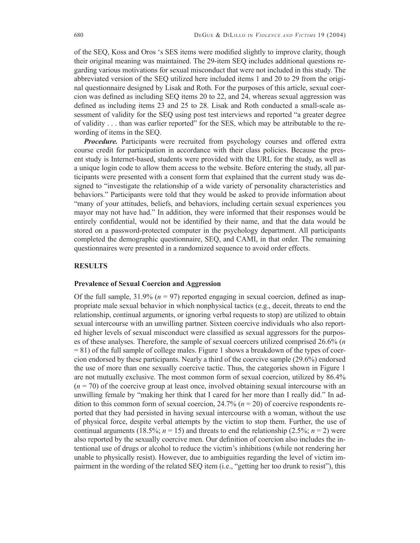of the SEQ, Koss and Oros 's SES items were modified slightly to improve clarity, though their original meaning was maintained. The 29-item SEQ includes additional questions regarding various motivations for sexual misconduct that were not included in this study. The abbreviated version of the SEQ utilized here included items 1 and 20 to 29 from the original questionnaire designed by Lisak and Roth. For the purposes of this article, sexual coercion was defined as including SEQ items 20 to 22, and 24, whereas sexual aggression was defined as including items 23 and 25 to 28. Lisak and Roth conducted a small-scale assessment of validity for the SEQ using post test interviews and reported "a greater degree of validity . . . than was earlier reported" for the SES, which may be attributable to the rewording of items in the SEQ.

*Procedure.* Participants were recruited from psychology courses and offered extra course credit for participation in accordance with their class policies. Because the present study is Internet-based, students were provided with the URL for the study, as well as a unique login code to allow them access to the website. Before entering the study, all participants were presented with a consent form that explained that the current study was designed to "investigate the relationship of a wide variety of personality characteristics and behaviors." Participants were told that they would be asked to provide information about "many of your attitudes, beliefs, and behaviors, including certain sexual experiences you mayor may not have had." In addition, they were informed that their responses would be entirely confidential, would not be identified by their name, and that the data would be stored on a password-protected computer in the psychology department. All participants completed the demographic questionnaire, SEQ, and CAMI, in that order. The remaining questionnaires were presented in a randomized sequence to avoid order effects.

#### **RESULTS**

#### **Prevalence of Sexual Coercion and Aggression**

Of the full sample,  $31.9\%$  ( $n = 97$ ) reported engaging in sexual coercion, defined as inappropriate male sexual behavior in which nonphysical tactics (e.g., deceit, threats to end the relationship, continual arguments, or ignoring verbal requests to stop) are utilized to obtain sexual intercourse with an unwilling partner. Sixteen coercive individuals who also reported higher levels of sexual misconduct were classified as sexual aggressors for the purposes of these analyses. Therefore, the sample of sexual coercers utilized comprised 26.6% (*n* = 81) of the full sample of college males. Figure 1 shows a breakdown of the types of coercion endorsed by these participants. Nearly a third of the coercive sample (29.6%) endorsed the use of more than one sexually coercive tactic. Thus, the categories shown in Figure 1 are not mutually exclusive. The most common form of sexual coercion, utilized by 86.4%  $(n = 70)$  of the coercive group at least once, involved obtaining sexual intercourse with an unwilling female by "making her think that I cared for her more than I really did." In addition to this common form of sexual coercion,  $24.7\%$  ( $n = 20$ ) of coercive respondents reported that they had persisted in having sexual intercourse with a woman, without the use of physical force, despite verbal attempts by the victim to stop them. Further, the use of continual arguments (18.5%;  $n = 15$ ) and threats to end the relationship (2.5%;  $n = 2$ ) were also reported by the sexually coercive men. Our definition of coercion also includes the intentional use of drugs or alcohol to reduce the victim's inhibitions (while not rendering her unable to physically resist). However, due to ambiguities regarding the level of victim impairment in the wording of the related SEQ item (i.e., "getting her too drunk to resist"), this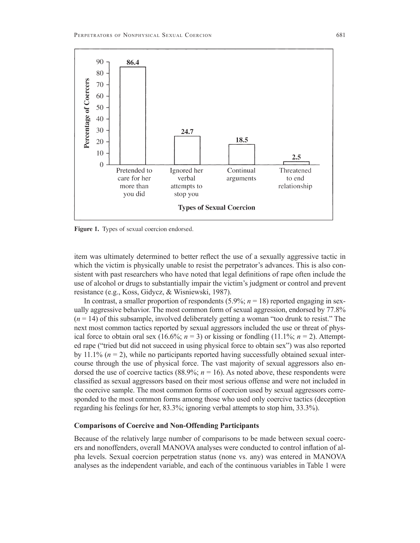

Figure 1. Types of sexual coercion endorsed.

item was ultimately determined to better reflect the use of a sexually aggressive tactic in which the victim is physically unable to resist the perpetrator's advances. This is also consistent with past researchers who have noted that legal definitions of rape often include the use of alcohol or drugs to substantially impair the victim's judgment or control and prevent resistance (e.g., Koss, Gidycz, & Wisniewski, 1987).

In contrast, a smaller proportion of respondents  $(5.9\%; n = 18)$  reported engaging in sexually aggressive behavior. The most common form of sexual aggression, endorsed by 77.8% (*n* = 14) of this subsample, involved deliberately getting a woman "too drunk to resist." The next most common tactics reported by sexual aggressors included the use or threat of physical force to obtain oral sex (16.6%;  $n = 3$ ) or kissing or fondling (11.1%;  $n = 2$ ). Attempted rape ("tried but did not succeed in using physical force to obtain sex") was also reported by 11.1%  $(n = 2)$ , while no participants reported having successfully obtained sexual intercourse through the use of physical force. The vast majority of sexual aggressors also endorsed the use of coercive tactics (88.9%;  $n = 16$ ). As noted above, these respondents were classified as sexual aggressors based on their most serious offense and were not included in the coercive sample. The most common forms of coercion used by sexual aggressors corresponded to the most common forms among those who used only coercive tactics (deception regarding his feelings for her, 83.3%; ignoring verbal attempts to stop him, 33.3%).

#### **Comparisons of Coercive and Non-Offending Participants**

Because of the relatively large number of comparisons to be made between sexual coercers and nonoffenders, overall MANOVA analyses were conducted to control inflation of alpha levels. Sexual coercion perpetration status (none vs. any) was entered in MANOVA analyses as the independent variable, and each of the continuous variables in Table 1 were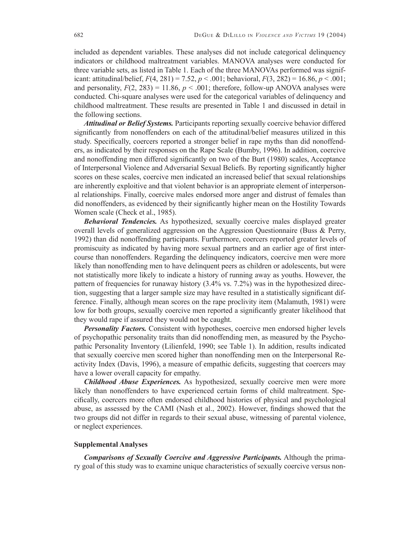included as dependent variables. These analyses did not include categorical delinquency indicators or childhood maltreatment variables. MANOVA analyses were conducted for three variable sets, as listed in Table 1. Each of the three MANOVAs performed was significant: attitudinal/belief,  $F(4, 281) = 7.52$ ,  $p < .001$ ; behavioral,  $F(3, 282) = 16.86$ ,  $p < .001$ ; and personality,  $F(2, 283) = 11.86$ ,  $p < .001$ ; therefore, follow-up ANOVA analyses were conducted. Chi-square analyses were used for the categorical variables of delinquency and childhood maltreatment. These results are presented in Table 1 and discussed in detail in the following sections.

*Attitudinal or Belief Systems.* Participants reporting sexually coercive behavior differed significantly from nonoffenders on each of the attitudinal/belief measures utilized in this study. Specifically, coercers reported a stronger belief in rape myths than did nonoffenders, as indicated by their responses on the Rape Scale (Bumby, 1996). In addition, coercive and nonoffending men differed significantly on two of the Burt (1980) scales, Acceptance of Interpersonal Violence and Adversarial Sexual Beliefs. By reporting significantly higher scores on these scales, coercive men indicated an increased belief that sexual relationships are inherently exploitive and that violent behavior is an appropriate element of interpersonal relationships. Finally, coercive males endorsed more anger and distrust of females than did nonoffenders, as evidenced by their significantly higher mean on the Hostility Towards Women scale (Check et al., 1985).

*Behavioral Tendencies.* As hypothesized, sexually coercive males displayed greater overall levels of generalized aggression on the Aggression Questionnaire (Buss & Perry, 1992) than did nonoffending participants. Furthermore, coercers reported greater levels of promiscuity as indicated by having more sexual partners and an earlier age of first intercourse than nonoffenders. Regarding the delinquency indicators, coercive men were more likely than nonoffending men to have delinquent peers as children or adolescents, but were not statistically more likely to indicate a history of running away as youths. However, the pattern of frequencies for runaway history  $(3.4\% \text{ vs. } 7.2\%)$  was in the hypothesized direction, suggesting that a larger sample size may have resulted in a statistically significant difference. Finally, although mean scores on the rape proclivity item (Malamuth, 1981) were low for both groups, sexually coercive men reported a significantly greater likelihood that they would rape if assured they would not be caught.

*Personality Factors.* Consistent with hypotheses, coercive men endorsed higher levels of psychopathic personality traits than did nonoffending men, as measured by the Psychopathic Personality Inventory (Lilienfeld, 1990; see Table 1). In addition, results indicated that sexually coercive men scored higher than nonoffending men on the Interpersonal Reactivity Index (Davis, 1996), a measure of empathic deficits, suggesting that coercers may have a lower overall capacity for empathy.

*Childhood Abuse Experiences.* As hypothesized, sexually coercive men were more likely than nonoffenders to have experienced certain forms of child maltreatment. Specifi cally, coercers more often endorsed childhood histories of physical and psychological abuse, as assessed by the CAMI (Nash et al., 2002). However, findings showed that the two groups did not differ in regards to their sexual abuse, witnessing of parental violence, or neglect experiences.

#### **Supplemental Analyses**

*Comparisons of Sexually Coercive and Aggressive Participants.* Although the primary goal of this study was to examine unique characteristics of sexually coercive versus non-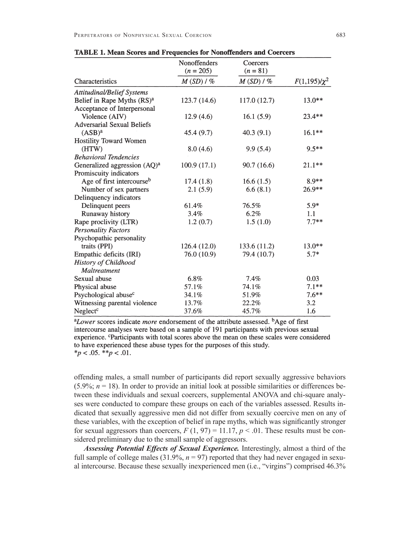| Characteristics                        | Nonoffenders<br>$(n = 205)$<br>$M(SD)/\%$ | Coercers<br>$(n = 81)$<br>$M(SD)/\%$ | $F(1,195)/\chi^2$ |
|----------------------------------------|-------------------------------------------|--------------------------------------|-------------------|
|                                        |                                           |                                      |                   |
| Belief in Rape Myths (RS) <sup>a</sup> | 123.7 (14.6)                              | 117.0(12.7)                          | $13.0**$          |
| Acceptance of Interpersonal            |                                           |                                      |                   |
| Violence (AIV)                         | 12.9(4.6)                                 | 16.1(5.9)                            | $23.4**$          |
| <b>Adversarial Sexual Beliefs</b>      |                                           |                                      |                   |
| (ASB) <sup>a</sup>                     | 45.4 (9.7)                                | 40.3(9.1)                            | $16.1**$          |
| <b>Hostility Toward Women</b>          |                                           |                                      |                   |
| (HTW)                                  | 8.0(4.6)                                  | 9.9(5.4)                             | $9.5**$           |
| <b>Behavioral Tendencies</b>           |                                           |                                      |                   |
| Generalized aggression $(AQ)^a$        | 100.9(17.1)                               | 90.7 (16.6)                          | $21.1**$          |
| Promiscuity indicators                 |                                           |                                      |                   |
| Age of first intercourse <sup>b</sup>  | 17.4(1.8)                                 | 16.6(1.5)                            | $8.9**$           |
| Number of sex partners                 | 2.1(5.9)                                  | 6.6(8.1)                             | $26.9**$          |
| Delinquency indicators                 |                                           |                                      |                   |
| Delinquent peers                       | 61.4%                                     | 76.5%                                | $5.9*$            |
| Runaway history                        | 3.4%                                      | 6.2%                                 | 1.1               |
| Rape proclivity (LTR)                  | 1.2(0.7)                                  | 1.5(1.0)                             | $7.7**$           |
| <b>Personality Factors</b>             |                                           |                                      |                   |
| Psychopathic personality               |                                           |                                      |                   |
| traits (PPI)                           | 126.4(12.0)                               | 133.6 (11.2)                         | $13.0**$          |
| Empathic deficits (IRI)                | 76.0 (10.9)                               | 79.4 (10.7)                          | $5.7*$            |
| History of Childhood                   |                                           |                                      |                   |
| Maltreatment                           |                                           |                                      |                   |
| Sexual abuse                           | 6.8%                                      | 7.4%                                 | 0.03              |
| Physical abuse                         | 57.1%                                     | 74.1%                                | $7.1**$           |
| Psychological abuse <sup>c</sup>       | 34.1%                                     | 51.9%                                | $7.6**$           |
| Witnessing parental violence           | 13.7%                                     | 22.2%                                | 3.2               |
| Neglect <sup>c</sup>                   | 37.6%                                     | 45.7%                                | 1.6               |

<sup>a</sup>Lower scores indicate *more* endorsement of the attribute assessed. <sup>b</sup>Age of first intercourse analyses were based on a sample of 191 participants with previous sexual experience. <sup>c</sup>Participants with total scores above the mean on these scales were considered to have experienced these abuse types for the purposes of this study. \* $p < .05$ . \*\* $p < .01$ .

offending males, a small number of participants did report sexually aggressive behaviors  $(5.9\%; n = 18)$ . In order to provide an initial look at possible similarities or differences between these individuals and sexual coercers, supplemental ANOVA and chi-square analyses were conducted to compare these groups on each of the variables assessed. Results indicated that sexually aggressive men did not differ from sexually coercive men on any of these variables, with the exception of belief in rape myths, which was significantly stronger for sexual aggressors than coercers,  $F(1, 97) = 11.17$ ,  $p < .01$ . These results must be considered preliminary due to the small sample of aggressors.

*Assessing Potential Effects of Sexual Experience.* Interestingly, almost a third of the full sample of college males  $(31.9\%, n = 97)$  reported that they had never engaged in sexual intercourse. Because these sexually inexperienced men (i.e., "virgins") comprised 46.3%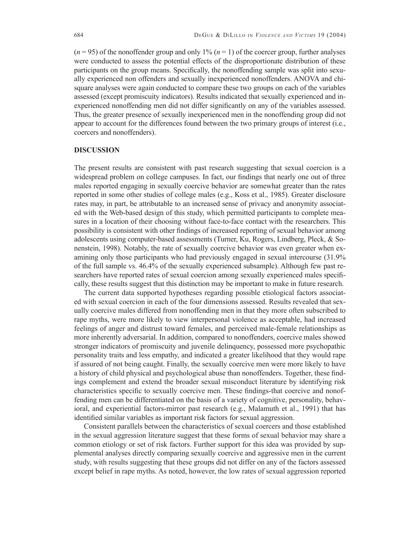$(n = 95)$  of the nonoffender group and only 1%  $(n = 1)$  of the coercer group, further analyses were conducted to assess the potential effects of the disproportionate distribution of these participants on the group means. Specifically, the nonoffending sample was split into sexually experienced non offenders and sexually inexperienced nonoffenders. ANOVA and chisquare analyses were again conducted to compare these two groups on each of the variables assessed (except promiscuity indicators). Results indicated that sexually experienced and inexperienced nonoffending men did not differ significantly on any of the variables assessed. Thus, the greater presence of sexually inexperienced men in the nonoffending group did not appear to account for the differences found between the two primary groups of interest (i.e., coercers and nonoffenders).

#### **DISCUSSION**

The present results are consistent with past research suggesting that sexual coercion is a widespread problem on college campuses. In fact, our findings that nearly one out of three males reported engaging in sexually coercive behavior are somewhat greater than the rates reported in some other studies of college males (e.g., Koss et al., 1985). Greater disclosure rates may, in part, be attributable to an increased sense of privacy and anonymity associated with the Web-based design of this study, which permitted participants to complete measures in a location of their choosing without face-to-face contact with the researchers. This possibility is consistent with other findings of increased reporting of sexual behavior among adolescents using computer-based assessments (Turner, Ku, Rogers, Lindberg, Pleck, & Sonenstein, 1998). Notably, the rate of sexually coercive behavior was even greater when examining only those participants who had previously engaged in sexual intercourse (31.9% of the full sample vs. 46.4% of the sexually experienced subsample). Although few past researchers have reported rates of sexual coercion among sexually experienced males specifically, these results suggest that this distinction may be important to make in future research.

The current data supported hypotheses regarding possible etiological factors associated with sexual coercion in each of the four dimensions assessed. Results revealed that sexually coercive males differed from nonoffending men in that they more often subscribed to rape myths, were more likely to view interpersonal violence as acceptable, had increased feelings of anger and distrust toward females, and perceived male-female relationships as more inherently adversarial. In addition, compared to nonoffenders, coercive males showed stronger indicators of promiscuity and juvenile delinquency, possessed more psychopathic personality traits and less empathy, and indicated a greater likelihood that they would rape if assured of not being caught. Finally, the sexually coercive men were more likely to have a history of child physical and psychological abuse than nonoffenders. Together, these findings complement and extend the broader sexual misconduct literature by identifying risk characteristics specific to sexually coercive men. These findings-that coercive and nonoffending men can be differentiated on the basis of a variety of cognitive, personality, behavioral, and experiential factors-mirror past research (e.g., Malamuth et al., 1991) that has identified similar variables as important risk factors for sexual aggression.

Consistent parallels between the characteristics of sexual coercers and those established in the sexual aggression literature suggest that these forms of sexual behavior may share a common etiology or set of risk factors. Further support for this idea was provided by supplemental analyses directly comparing sexually coercive and aggressive men in the current study, with results suggesting that these groups did not differ on any of the factors assessed except belief in rape myths. As noted, however, the low rates of sexual aggression reported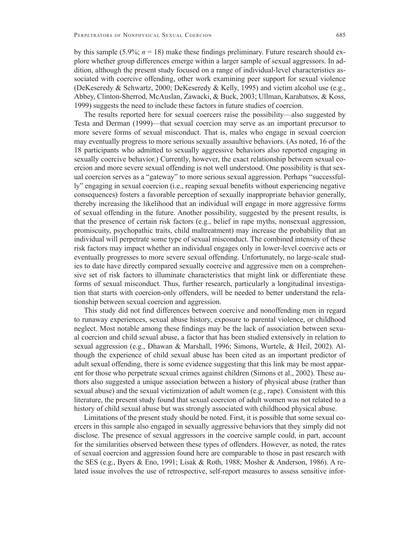by this sample (5.9%;  $n = 18$ ) make these findings preliminary. Future research should explore whether group differences emerge within a larger sample of sexual aggressors. In addition, although the present study focused on a range of individual-level characteristics associated with coercive offending, other work examining peer support for sexual violence (DeKeseredy & Schwartz, 2000; DeKeseredy & Kelly, 1995) and victim alcohol use (e.g., Abbey, Clinton-Sherrod, McAuslan, Zawacki, & Buck, 2003; Ullman, Karabatsos, & Koss, 1999) suggests the need to include these factors in future studies of coercion.

The results reported here for sexual coercers raise the possibility—also suggested by Testa and Derman (1999)—that sexual coercion may serve as an important precursor to more severe forms of sexual misconduct. That is, males who engage in sexual coercion may eventually progress to more serious sexually assaultive behaviors. (As noted, 16 of the 18 participants who admitted to sexually aggressive behaviors also reported engaging in sexually coercive behavior.) Currently, however, the exact relationship between sexual coercion and more severe sexual offending is not well understood. One possibility is that sexual coercion serves as a "gateway" to more serious sexual aggression. Perhaps "successful- $\gamma$ " engaging in sexual coercion (i.e., reaping sexual benefits without experiencing negative consequences) fosters a favorable perception of sexually inappropriate behavior generally, thereby increasing the likelihood that an individual will engage in more aggressive forms of sexual offending in the future. Another possibility, suggested by the present results, is that the presence of certain risk factors (e.g., belief in rape myths, nonsexual aggression, promiscuity, psychopathic traits, child maltreatment) may increase the probability that an individual will perpetrate some type of sexual misconduct. The combined intensity of these risk factors may impact whether an individual engages only in lower-level coercive acts or eventually progresses to more severe sexual offending. Unfortunately, no large-scale studies to date have directly compared sexually coercive and aggressive men on a comprehensive set of risk factors to illuminate characteristics that might link or differentiate these forms of sexual misconduct. Thus, further research, particularly a longitudinal investigation that starts with coercion-only offenders, will be needed to better understand the relationship between sexual coercion and aggression.

This study did not find differences between coercive and nonoffending men in regard to runaway experiences, sexual abuse history, exposure to parental violence, or childhood neglect. Most notable among these findings may be the lack of association between sexual coercion and child sexual abuse, a factor that has been studied extensively in relation to sexual aggression (e.g., Dhawan & Marshall, 1996; Simons, Wurtele, & Heil, 2002). Although the experience of child sexual abuse has been cited as an important predictor of adult sexual offending, there is some evidence suggesting that this link may be most apparent for those who perpetrate sexual crimes against children (Simons et al., 2002). These authors also suggested a unique association between a history of physical abuse (rather than sexual abuse) and the sexual victimization of adult women (e.g., rape). Consistent with this literature, the present study found that sexual coercion of adult women was not related to a history of child sexual abuse but was strongly associated with childhood physical abuse.

Limitations of the present study should be noted. First, it is possible that some sexual coercers in this sample also engaged in sexually aggressive behaviors that they simply did not disclose. The presence of sexual aggressors in the coercive sample could, in part, account for the similarities observed between these types of offenders. However, as noted, the rates of sexual coercion and aggression found here are comparable to those in past research with the SES (e.g., Byers & Eno, 1991; Lisak & Roth, 1988; Mosher & Anderson, 1986). A related issue involves the use of retrospective, self-report measures to assess sensitive infor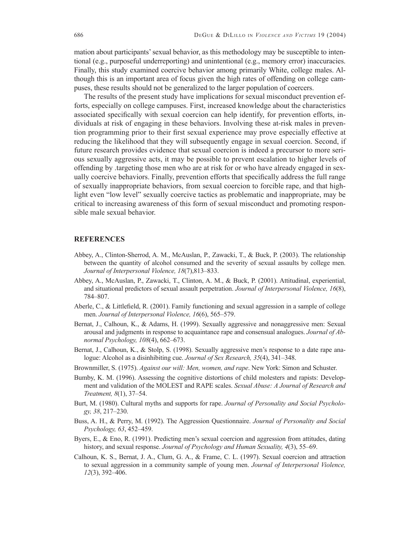mation about participants' sexual behavior, as this methodology may be susceptible to intentional (e.g., purposeful underreporting) and unintentional (e.g., memory error) inaccuracies. Finally, this study examined coercive behavior among primarily White, college males. Although this is an important area of focus given the high rates of offending on college campuses, these results should not be generalized to the larger population of coercers.

The results of the present study have implications for sexual misconduct prevention efforts, especially on college campuses. First, increased knowledge about the characteristics associated specifically with sexual coercion can help identify, for prevention efforts, individuals at risk of engaging in these behaviors. Involving these at-risk males in prevention programming prior to their first sexual experience may prove especially effective at reducing the likelihood that they will subsequently engage in sexual coercion. Second, if future research provides evidence that sexual coercion is indeed a precursor to more serious sexually aggressive acts, it may be possible to prevent escalation to higher levels of offending by .targeting those men who are at risk for or who have already engaged in sexually coercive behaviors. Finally, prevention efforts that specifically address the full range of sexually inappropriate behaviors, from sexual coercion to forcible rape, and that highlight even "low level" sexually coercive tactics as problematic and inappropriate, may be critical to increasing awareness of this form of sexual misconduct and promoting responsible male sexual behavior.

#### **REFERENCES**

- Abbey, A., Clinton-Sherrod, A. M., McAuslan, P., Zawacki, T., & Buck, P. (2003). The relationship between the quantity of alcohol consumed and the severity of sexual assaults by college men. *Journal of Interpersonal Violence, 18*(7),813–833.
- Abbey, A., McAuslan, P., Zawacki, T., Clinton, A. M., & Buck, P. (2001). Attitudinal, experiential, and situational predictors of sexual assault perpetration. *Journal of Interpersonal Violence, 16*(8), 784–807.
- Aberle, C.,  $\&$  Littlefield, R. (2001). Family functioning and sexual aggression in a sample of college men. *Journal of Interpersonal Violence, 16*(6), 565–579.
- Bernat, J., Calhoun, K., & Adams, H. (1999). Sexually aggressive and nonaggressive men: Sexual arousal and judgments in response to acquaintance rape and consensual analogues. *Journal of Abnormal Psychology, 108*(4), 662–673.
- Bernat, J., Calhoun, K., & Stolp, S. (1998). Sexually aggressive men's response to a date rape analogue: Alcohol as a disinhibiting cue. *Journal of Sex Research, 35*(4), 341–348.
- Brownmiller, S. (1975). *Against our will: Men, women, and rape*. New York: Simon and Schuster.
- Bumby, K. M. (1996). Assessing the cognitive distortions of child molesters and rapists: Development and validation of the MOLEST and RAPE scales. *Sexual Abuse: A Journal of Research and Treatment, 8*(1), 37–54.
- Burt, M. (1980). Cultural myths and supports for rape. *Journal of Personality and Social Psychology, 38*, 217–230.
- Buss, A. H., & Perry, M. (1992). The Aggression Questionnaire. *Journal of Personality and Social Psychology, 63*, 452–459.
- Byers, E., & Eno, R. (1991). Predicting men's sexual coercion and aggression from attitudes, dating history, and sexual response. *Journal of Psychology and Human Sexuality, 4*(3), 55–69.
- Calhoun, K. S., Bernat, J. A., Clum, G. A., & Frame, C. L. (1997). Sexual coercion and attraction to sexual aggression in a community sample of young men. *Journal of Interpersonal Violence, 12*(3), 392–406.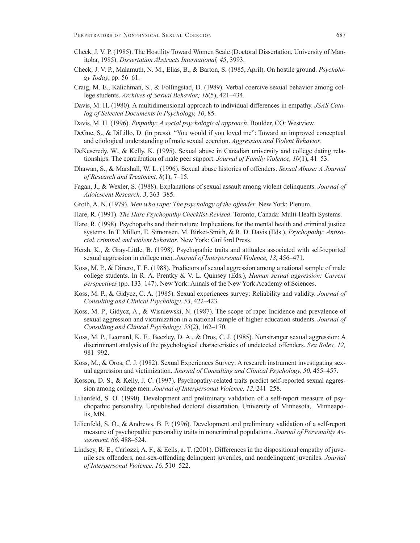- Check, J. V. P. (1985). The Hostility Toward Women Scale (Doctoral Dissertation, University of Manitoba, 1985). *Dissertation Abstracts International, 45*, 3993.
- Check, J. V. P., Malamuth, N. M., Elias, B., & Barton, S. (1985, April). On hostile ground. *Psychology Today*, pp. 56–61.
- Craig, M. E., Kalichman, S., & Follingstad, D. (1989). Verbal coercive sexual behavior among college students. *Archives of Sexual Behavior; 18*(5), 421–434.
- Davis, M. H. (1980). A multidimensional approach to individual differences in empathy. *JSAS Catalog of Selected Documents in Psychology, 10*, 85.
- Davis, M. H. (1996). *Empathy: A social psychological approach*. Boulder, CO: Westview.
- DeGue, S., & DiLillo, D. (in press). "You would if you loved me": Toward an improved conceptual and etiological understanding of male sexual coercion. *Aggression and Violent Behavior*.
- DeKeseredy, W., & Kelly, K. (1995). Sexual abuse in Canadian university and college dating relationships: The contribution of male peer support. *Journal of Family Violence, 10*(1), 41–53.
- Dhawan, S., & Marshall, W. L. (1996). Sexual abuse histories of offenders. *Sexual Abuse: A Journal of Research and Treatment, 8*(1), 7–15.
- Fagan, J., & Wexler, S. (1988). Explanations of sexual assault among violent delinquents. *Journal of Adolescent Research, 3*, 363–385.
- Groth, A. N. (1979). *Men who rape: The psychology of the offender*. New York: Plenum.
- Hare, R. (1991). *The Hare Psychopathy Checklist-Revised*. Toronto, Canada: Multi-Health Systems.
- Hare, R. (1998). Psychopaths and their nature: Implications for the mental health and criminal justice systems. In T. Millon, E. Simonsen, M. Birket-Smith, & R. D. Davis (Eds.), *Psychopathy: Antisocial. criminal and violent behavior*. New York: Guilford Press.
- Hersh, K., & Gray-Little, B. (1998). Psychopathic traits and attitudes associated with self-reported sexual aggression in college men. *Journal of Interpersonal Violence, 13,* 456–471.
- Koss, M. P., & Dinero, T. E. (1988). Predictors of sexual aggression among a national sample of male college students. In R. A. Prentky & V. L. Quinsey (Eds.), *Human sexual aggression: Current perspectives* (pp. 133–147). New York: Annals of the New York Academy of Sciences.
- Koss, M. P., & Gidycz, C. A. (1985). Sexual experiences survey: Reliability and validity. *Journal of Consulting and Clinical Psychology, 53*, 422–423.
- Koss, M. P., Gidycz, A., & Wisniewski, N. (1987). The scope of rape: Incidence and prevalence of sexual aggression and victimization in a national sample of higher education students. *Journal of Consulting and Clinical Psychology, 55*(2), 162–170.
- Koss, M. P., Leonard, K. E., Beezley, D. A., & Oros, C. J. (1985). Nonstranger sexual aggression: A discriminant analysis of the psychological characteristics of undetected offenders. *Sex Roles, 12,* 981–992.
- Koss, M., & Oros, C. J. (1982). Sexual Experiences Survey: A research instrument investigating sexual aggression and victimization. *Journal of Consulting and Clinical Psychology, 50,* 455–457.
- Kosson, D. S., & Kelly, J. C. (1997). Psychopathy-related traits predict self-reported sexual aggression among college men. *Journal of Interpersonal Violence, 12,* 241–258.
- Lilienfeld, S. O. (1990). Development and preliminary validation of a self-report measure of psychopathic personality. Unpublished doctoral dissertation, University of Minnesota, Minneapolis, MN.
- Lilienfeld, S. O., & Andrews, B. P. (1996). Development and preliminary validation of a self-report measure of psychopathic personality traits in noncriminal populations. *Journal of Personality Assessment, 66*, 488–524.
- Lindsey, R. E., Carlozzi, A. F., & Eells, a. T. (2001). Differences in the dispositional empathy of juvenile sex offenders, non-sex-offending delinquent juveniles, and nondelinquent juveniles. *Journal of Interpersonal Violence, 16,* 510–522.